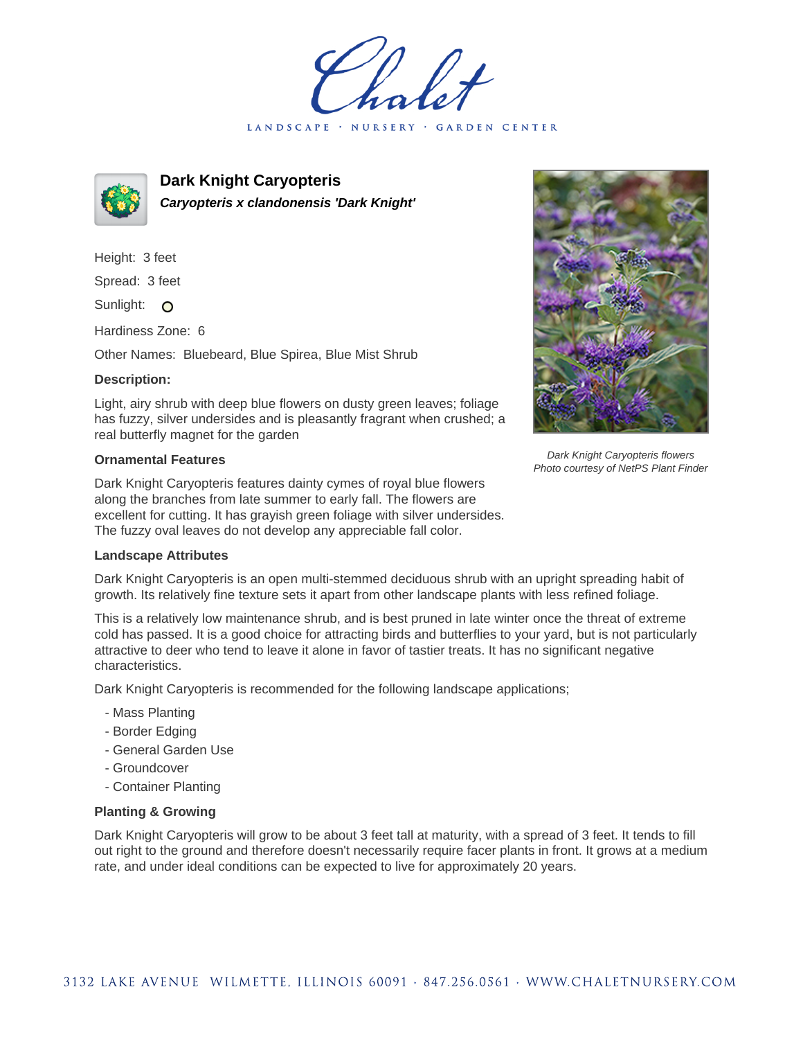LANDSCAPE · NURSERY · GARDEN CENTER



**Dark Knight Caryopteris Caryopteris x clandonensis 'Dark Knight'**

Height: 3 feet Spread: 3 feet Sunlight: O

Hardiness Zone: 6

Other Names: Bluebeard, Blue Spirea, Blue Mist Shrub

## **Description:**

Light, airy shrub with deep blue flowers on dusty green leaves; foliage has fuzzy, silver undersides and is pleasantly fragrant when crushed; a real butterfly magnet for the garden

## **Ornamental Features**

Dark Knight Caryopteris features dainty cymes of royal blue flowers along the branches from late summer to early fall. The flowers are excellent for cutting. It has grayish green foliage with silver undersides. The fuzzy oval leaves do not develop any appreciable fall color.



Dark Knight Caryopteris is an open multi-stemmed deciduous shrub with an upright spreading habit of growth. Its relatively fine texture sets it apart from other landscape plants with less refined foliage.

This is a relatively low maintenance shrub, and is best pruned in late winter once the threat of extreme cold has passed. It is a good choice for attracting birds and butterflies to your yard, but is not particularly attractive to deer who tend to leave it alone in favor of tastier treats. It has no significant negative characteristics.

Dark Knight Caryopteris is recommended for the following landscape applications;

- Mass Planting
- Border Edging
- General Garden Use
- Groundcover
- Container Planting

## **Planting & Growing**

Dark Knight Caryopteris will grow to be about 3 feet tall at maturity, with a spread of 3 feet. It tends to fill out right to the ground and therefore doesn't necessarily require facer plants in front. It grows at a medium rate, and under ideal conditions can be expected to live for approximately 20 years.



Dark Knight Caryopteris flowers Photo courtesy of NetPS Plant Finder